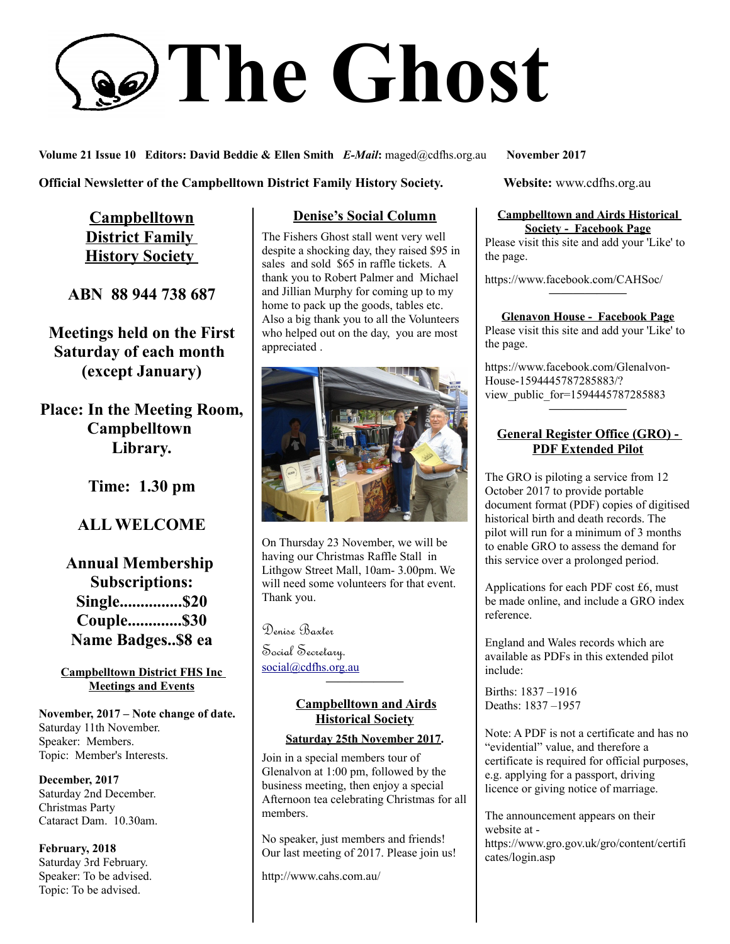# **The Ghost**

**Volume 21 Issue 10 Editors: David Beddie & Ellen Smith** *E-Mail***:** maged@cdfhs.org.au **November 2017**

**Official Newsletter of the Campbelltown District Family History Society. Website: www.cdfhs.org.au** 

**Campbelltown District Family History Society** 

**ABN 88 944 738 687**

**Meetings held on the First Saturday of each month (except January)**

**Place: In the Meeting Room, Campbelltown Library.**

**Time: 1.30 pm**

# **ALL WELCOME**

**Annual Membership Subscriptions: Single...............\$20 Couple.............\$30 Name Badges..\$8 ea**

#### **Campbelltown District FHS Inc Meetings and Events**

**November, 2017 – Note change of date.** Saturday 11th November. Speaker: Members. Topic: Member's Interests.

**December, 2017** Saturday 2nd December. Christmas Party Cataract Dam. 10.30am.

**February, 2018** Saturday 3rd February. Speaker: To be advised. Topic: To be advised.

## **Denise's Social Column**

The Fishers Ghost stall went very well despite a shocking day, they raised \$95 in sales and sold \$65 in raffle tickets. A thank you to Robert Palmer and Michael and Jillian Murphy for coming up to my home to pack up the goods, tables etc. Also a big thank you to all the Volunteers who helped out on the day, you are most appreciated .



On Thursday 23 November, we will be having our Christmas Raffle Stall in Lithgow Street Mall, 10am- 3.00pm. We will need some volunteers for that event. Thank you.

Denise Baxter

Social Secretary. [social@cdfhs.org.au](mailto:social@cdfhs.org.au)

## **Campbelltown and Airds Historical Society**

**——————–**

#### **Saturday 25th November 2017.**

Join in a special members tour of Glenalvon at 1:00 pm, followed by the business meeting, then enjoy a special Afternoon tea celebrating Christmas for all members.

No speaker, just members and friends! Our last meeting of 2017. Please join us!

http://www.cahs.com.au/

#### **Campbelltown and Airds Historical Society - Facebook Page**

Please visit this site and add your 'Like' to the page.

https://www.facebook.com/CAHSoc/

# **——————– Glenavon House - Facebook Page**

Please visit this site and add your 'Like' to the page.

https://www.facebook.com/Glenalvon-House-1594445787285883/? view\_public\_for=1594445787285883 **——————–**

#### **General Register Office (GRO) - PDF Extended Pilot**

The GRO is piloting a service from 12 October 2017 to provide portable document format (PDF) copies of digitised historical birth and death records. The pilot will run for a minimum of 3 months to enable GRO to assess the demand for this service over a prolonged period.

Applications for each PDF cost £6, must be made online, and include a GRO index reference.

England and Wales records which are available as PDFs in this extended pilot include:

Births: 1837 –1916 Deaths: 1837 –1957

Note: A PDF is not a certificate and has no "evidential" value, and therefore a certificate is required for official purposes, e.g. applying for a passport, driving licence or giving notice of marriage.

The announcement appears on their website at https://www.gro.gov.uk/gro/content/certifi cates/login.asp